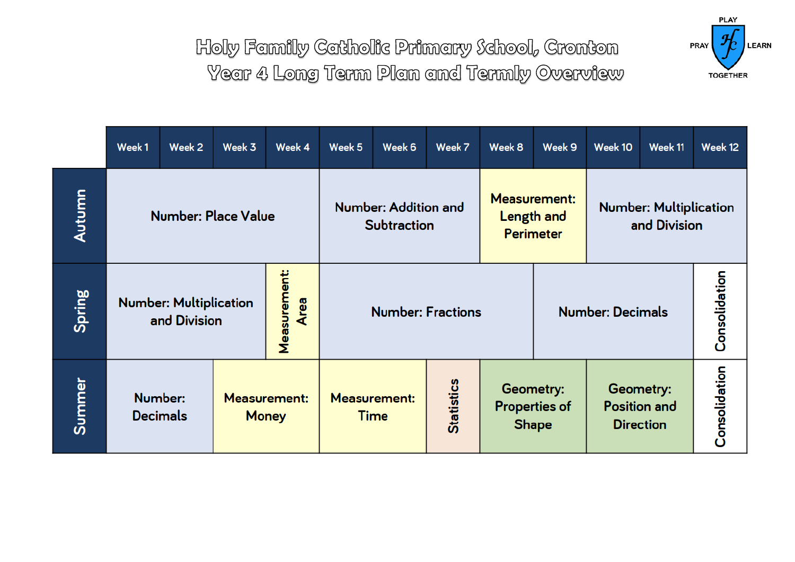

|        | Week1                                                                        | Week 2                     | Week 3                              | Week 4                                     | Week <sub>5</sub>   | Week 6 | Week 7                                                | Week 8                                            | Week 9                                        | Week 10                                              | Week 11 | Week 12       |
|--------|------------------------------------------------------------------------------|----------------------------|-------------------------------------|--------------------------------------------|---------------------|--------|-------------------------------------------------------|---------------------------------------------------|-----------------------------------------------|------------------------------------------------------|---------|---------------|
| Autumn | <b>Number: Place Value</b>                                                   |                            |                                     | Number: Addition and<br><b>Subtraction</b> |                     |        | <b>Measurement:</b><br>Length and<br><b>Perimeter</b> |                                                   | <b>Number: Multiplication</b><br>and Division |                                                      |         |               |
| Spring | <b>Measurement:</b><br><b>Number: Multiplication</b><br>Area<br>and Division |                            |                                     | <b>Number: Fractions</b>                   |                     |        | Consolidation<br><b>Number: Decimals</b>              |                                                   |                                               |                                                      |         |               |
| Summer |                                                                              | Number:<br><b>Decimals</b> | <b>Measurement:</b><br><b>Money</b> |                                            | <b>Measurement:</b> | Time   | <b>Statistics</b>                                     | Geometry:<br><b>Properties of</b><br><b>Shape</b> |                                               | Geometry:<br><b>Position and</b><br><b>Direction</b> |         | Consolidation |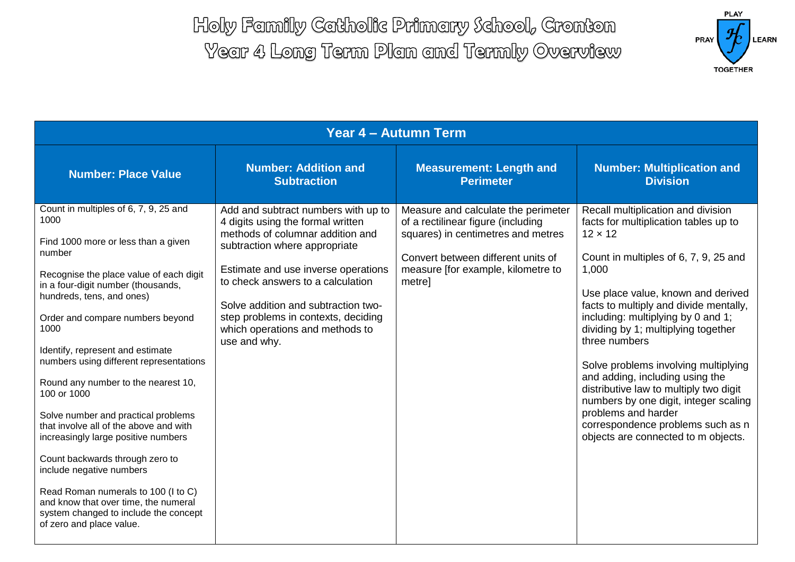

| Year 4 - Autumn Term                                                                                                                                                                                                                                                                                                                                                                                                                                                                                                                                                                                                                                                                                                                     |                                                                                                                                                                                                                                                                                                                                                            |                                                                                                                                                                                                       |                                                                                                                                                                                                                                                                                                                                                                                                                                                                                                                                                                                                |  |  |  |  |
|------------------------------------------------------------------------------------------------------------------------------------------------------------------------------------------------------------------------------------------------------------------------------------------------------------------------------------------------------------------------------------------------------------------------------------------------------------------------------------------------------------------------------------------------------------------------------------------------------------------------------------------------------------------------------------------------------------------------------------------|------------------------------------------------------------------------------------------------------------------------------------------------------------------------------------------------------------------------------------------------------------------------------------------------------------------------------------------------------------|-------------------------------------------------------------------------------------------------------------------------------------------------------------------------------------------------------|------------------------------------------------------------------------------------------------------------------------------------------------------------------------------------------------------------------------------------------------------------------------------------------------------------------------------------------------------------------------------------------------------------------------------------------------------------------------------------------------------------------------------------------------------------------------------------------------|--|--|--|--|
| <b>Number: Place Value</b>                                                                                                                                                                                                                                                                                                                                                                                                                                                                                                                                                                                                                                                                                                               | <b>Number: Addition and</b><br><b>Subtraction</b>                                                                                                                                                                                                                                                                                                          | <b>Measurement: Length and</b><br><b>Perimeter</b>                                                                                                                                                    | <b>Number: Multiplication and</b><br><b>Division</b>                                                                                                                                                                                                                                                                                                                                                                                                                                                                                                                                           |  |  |  |  |
| Count in multiples of 6, 7, 9, 25 and<br>1000<br>Find 1000 more or less than a given<br>number<br>Recognise the place value of each digit<br>in a four-digit number (thousands,<br>hundreds, tens, and ones)<br>Order and compare numbers beyond<br>1000<br>Identify, represent and estimate<br>numbers using different representations<br>Round any number to the nearest 10,<br>100 or 1000<br>Solve number and practical problems<br>that involve all of the above and with<br>increasingly large positive numbers<br>Count backwards through zero to<br>include negative numbers<br>Read Roman numerals to 100 (I to C)<br>and know that over time, the numeral<br>system changed to include the concept<br>of zero and place value. | Add and subtract numbers with up to<br>4 digits using the formal written<br>methods of columnar addition and<br>subtraction where appropriate<br>Estimate and use inverse operations<br>to check answers to a calculation<br>Solve addition and subtraction two-<br>step problems in contexts, deciding<br>which operations and methods to<br>use and why. | Measure and calculate the perimeter<br>of a rectilinear figure (including<br>squares) in centimetres and metres<br>Convert between different units of<br>measure [for example, kilometre to<br>metre] | Recall multiplication and division<br>facts for multiplication tables up to<br>$12 \times 12$<br>Count in multiples of 6, 7, 9, 25 and<br>1,000<br>Use place value, known and derived<br>facts to multiply and divide mentally,<br>including: multiplying by 0 and 1;<br>dividing by 1; multiplying together<br>three numbers<br>Solve problems involving multiplying<br>and adding, including using the<br>distributive law to multiply two digit<br>numbers by one digit, integer scaling<br>problems and harder<br>correspondence problems such as n<br>objects are connected to m objects. |  |  |  |  |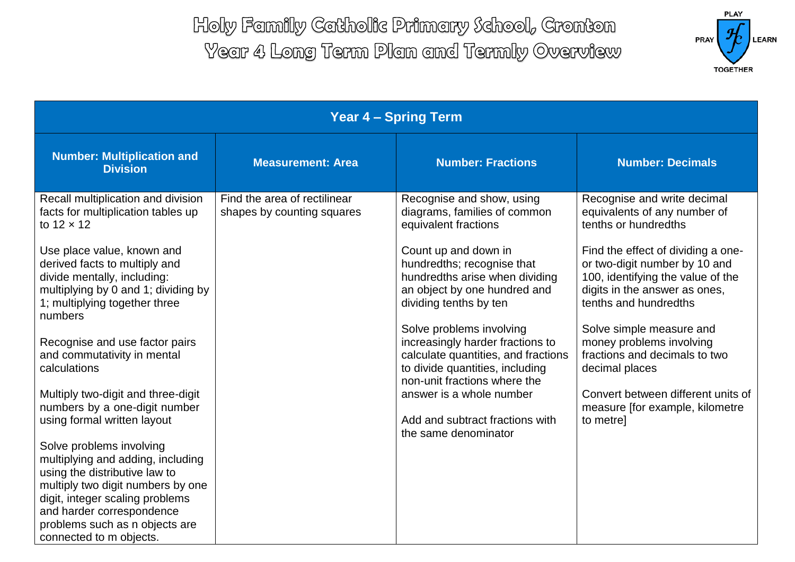

| <b>Year 4 - Spring Term</b>                                                                                                                                                                                                                                                                     |                                                            |                                                                                                                                                                                                                                     |                                                                                                                                                                                                                                                           |  |  |  |  |
|-------------------------------------------------------------------------------------------------------------------------------------------------------------------------------------------------------------------------------------------------------------------------------------------------|------------------------------------------------------------|-------------------------------------------------------------------------------------------------------------------------------------------------------------------------------------------------------------------------------------|-----------------------------------------------------------------------------------------------------------------------------------------------------------------------------------------------------------------------------------------------------------|--|--|--|--|
| <b>Number: Multiplication and</b><br><b>Division</b>                                                                                                                                                                                                                                            | <b>Measurement: Area</b>                                   | <b>Number: Fractions</b>                                                                                                                                                                                                            | <b>Number: Decimals</b>                                                                                                                                                                                                                                   |  |  |  |  |
| Recall multiplication and division<br>facts for multiplication tables up<br>to $12 \times 12$<br>Use place value, known and<br>derived facts to multiply and<br>divide mentally, including:<br>multiplying by 0 and 1; dividing by<br>1; multiplying together three                             | Find the area of rectilinear<br>shapes by counting squares | Recognise and show, using<br>diagrams, families of common<br>equivalent fractions<br>Count up and down in<br>hundredths; recognise that<br>hundredths arise when dividing<br>an object by one hundred and<br>dividing tenths by ten | Recognise and write decimal<br>equivalents of any number of<br>tenths or hundredths<br>Find the effect of dividing a one-<br>or two-digit number by 10 and<br>100, identifying the value of the<br>digits in the answer as ones,<br>tenths and hundredths |  |  |  |  |
| numbers<br>Recognise and use factor pairs<br>and commutativity in mental<br>calculations<br>Multiply two-digit and three-digit<br>numbers by a one-digit number                                                                                                                                 |                                                            | Solve problems involving<br>increasingly harder fractions to<br>calculate quantities, and fractions<br>to divide quantities, including<br>non-unit fractions where the<br>answer is a whole number                                  | Solve simple measure and<br>money problems involving<br>fractions and decimals to two<br>decimal places<br>Convert between different units of<br>measure [for example, kilometre                                                                          |  |  |  |  |
| using formal written layout<br>Solve problems involving<br>multiplying and adding, including<br>using the distributive law to<br>multiply two digit numbers by one<br>digit, integer scaling problems<br>and harder correspondence<br>problems such as n objects are<br>connected to m objects. |                                                            | Add and subtract fractions with<br>the same denominator                                                                                                                                                                             | to metre]                                                                                                                                                                                                                                                 |  |  |  |  |